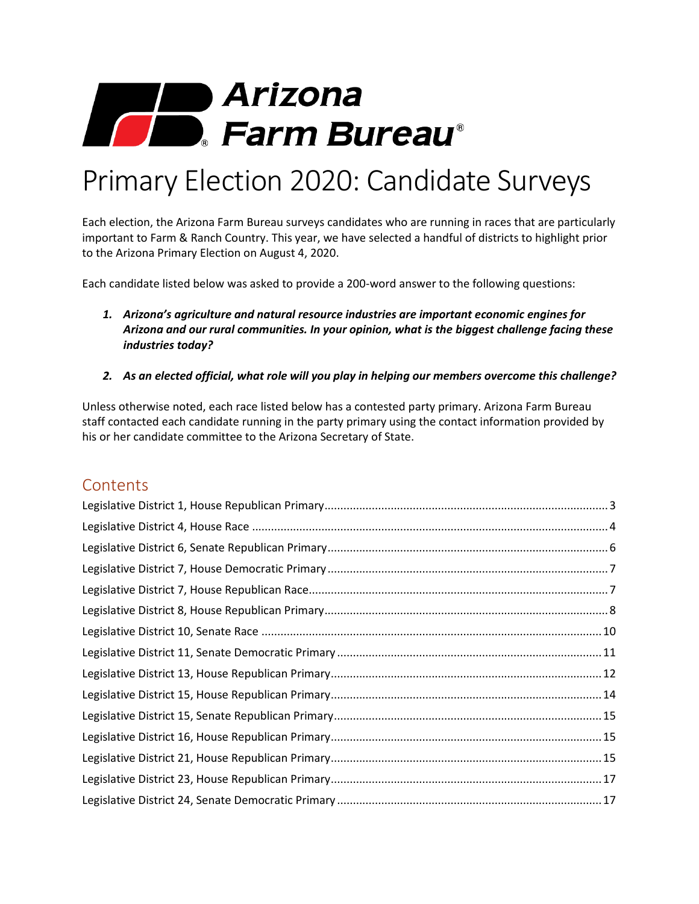# **1999 Arizona**<br>1999 **Farm Bureau**

## Primary Election 2020: Candidate Surveys

Each election, the Arizona Farm Bureau surveys candidates who are running in races that are particularly important to Farm & Ranch Country. This year, we have selected a handful of districts to highlight prior to the Arizona Primary Election on August 4, 2020.

Each candidate listed below was asked to provide a 200-word answer to the following questions:

- *1. Arizona's agriculture and natural resource industries are important economic engines for Arizona and our rural communities. In your opinion, what is the biggest challenge facing these industries today?*
- *2. As an elected official, what role will you play in helping our members overcome this challenge?*

Unless otherwise noted, each race listed below has a contested party primary. Arizona Farm Bureau staff contacted each candidate running in the party primary using the contact information provided by his or her candidate committee to the Arizona Secretary of State.

## **Contents**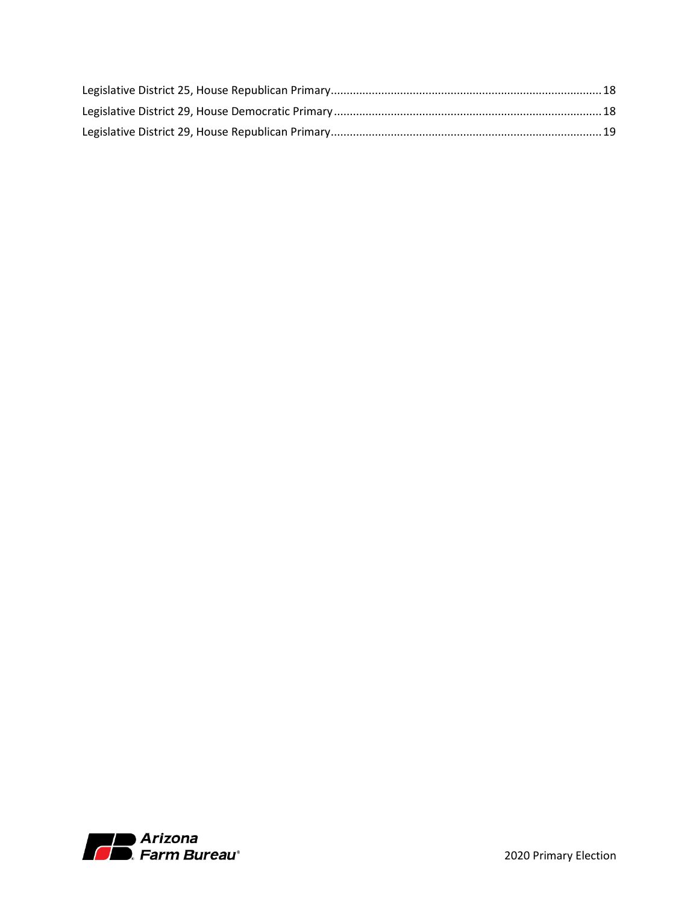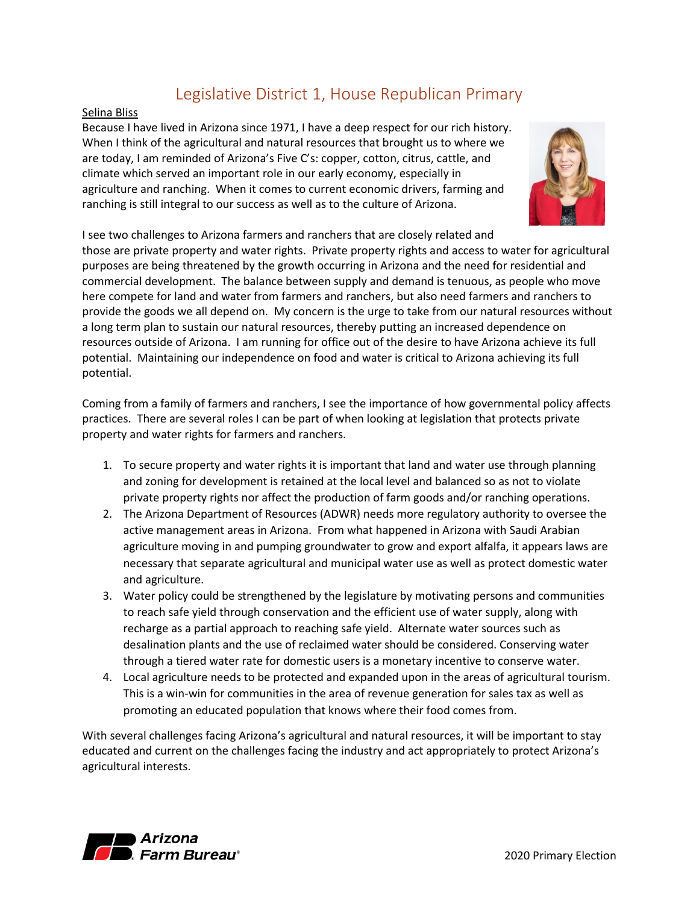## Legislative District 1, House Republican Primary

#### <span id="page-2-0"></span>Selina Bliss

Because I have lived in Arizona since 1971, I have a deep respect for our rich history. When I think of the agricultural and natural resources that brought us to where we are today, I am reminded of Arizona's Five C's: copper, cotton, citrus, cattle, and climate which served an important role in our early economy, especially in agriculture and ranching. When it comes to current economic drivers, farming and ranching is still integral to our success as well as to the culture of Arizona.



I see two challenges to Arizona farmers and ranchers that are closely related and

those are private property and water rights. Private property rights and access to water for agricultural purposes are being threatened by the growth occurring in Arizona and the need for residential and commercial development. The balance between supply and demand is tenuous, as people who move here compete for land and water from farmers and ranchers, but also need farmers and ranchers to provide the goods we all depend on. My concern is the urge to take from our natural resources without a long term plan to sustain our natural resources, thereby putting an increased dependence on resources outside of Arizona. I am running for office out of the desire to have Arizona achieve its full potential. Maintaining our independence on food and water is critical to Arizona achieving its full potential.

Coming from a family of farmers and ranchers, I see the importance of how governmental policy affects practices. There are several roles I can be part of when looking at legislation that protects private property and water rights for farmers and ranchers.

- 1. To secure property and water rights it is important that land and water use through planning and zoning for development is retained at the local level and balanced so as not to violate private property rights nor affect the production of farm goods and/or ranching operations.
- 2. The Arizona Department of Resources (ADWR) needs more regulatory authority to oversee the active management areas in Arizona. From what happened in Arizona with Saudi Arabian agriculture moving in and pumping groundwater to grow and export alfalfa, it appears laws are necessary that separate agricultural and municipal water use as well as protect domestic water and agriculture.
- 3. Water policy could be strengthened by the legislature by motivating persons and communities to reach safe yield through conservation and the efficient use of water supply, along with recharge as a partial approach to reaching safe yield. Alternate water sources such as desalination plants and the use of reclaimed water should be considered. Conserving water through a tiered water rate for domestic users is a monetary incentive to conserve water.
- 4. Local agriculture needs to be protected and expanded upon in the areas of agricultural tourism. This is a win-win for communities in the area of revenue generation for sales tax as well as promoting an educated population that knows where their food comes from.

With several challenges facing Arizona's agricultural and natural resources, it will be important to stay educated and current on the challenges facing the industry and act appropriately to protect Arizona's agricultural interests.

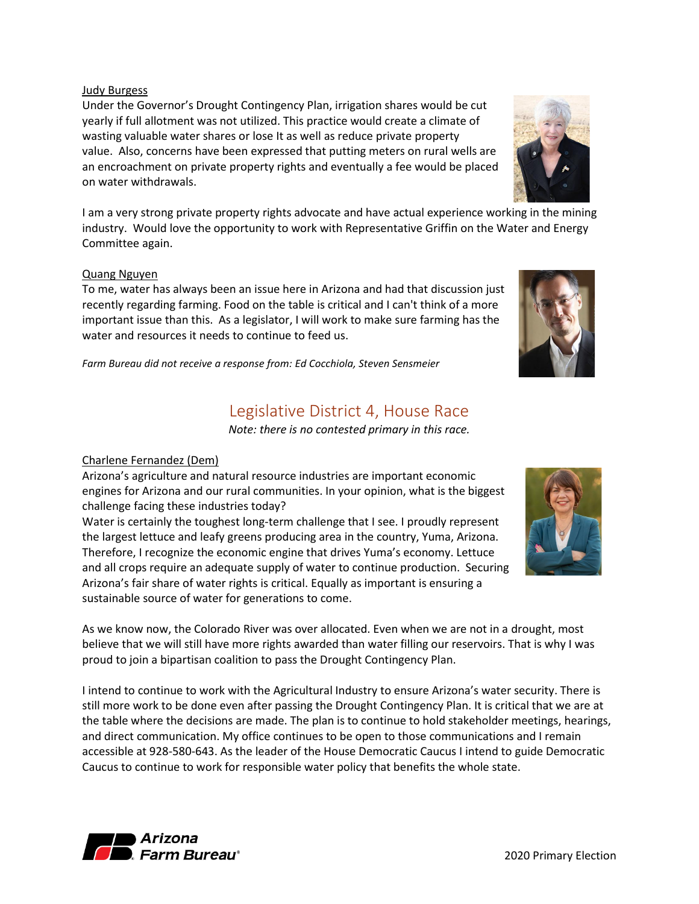Judy Burgess

Under the Governor's Drought Contingency Plan, irrigation shares would be cut yearly if full allotment was not utilized. This practice would create a climate of wasting valuable water shares or lose It as well as reduce private property value. Also, concerns have been expressed that putting meters on rural wells are an encroachment on private property rights and eventually a fee would be placed on water withdrawals.

I am a very strong private property rights advocate and have actual experience working in the mining industry. Would love the opportunity to work with Representative Griffin on the Water and Energy Committee again.

#### Quang Nguyen

To me, water has always been an issue here in Arizona and had that discussion just recently regarding farming. Food on the table is critical and I can't think of a more important issue than this. As a legislator, I will work to make sure farming has the water and resources it needs to continue to feed us.

<span id="page-3-0"></span>*Farm Bureau did not receive a response from: Ed Cocchiola, Steven Sensmeier*

## Legislative District 4, House Race

*Note: there is no contested primary in this race.*

#### Charlene Fernandez (Dem)

Arizona's agriculture and natural resource industries are important economic engines for Arizona and our rural communities. In your opinion, what is the biggest challenge facing these industries today?

Water is certainly the toughest long-term challenge that I see. I proudly represent the largest lettuce and leafy greens producing area in the country, Yuma, Arizona. Therefore, I recognize the economic engine that drives Yuma's economy. Lettuce and all crops require an adequate supply of water to continue production. Securing Arizona's fair share of water rights is critical. Equally as important is ensuring a sustainable source of water for generations to come.

As we know now, the Colorado River was over allocated. Even when we are not in a drought, most believe that we will still have more rights awarded than water filling our reservoirs. That is why I was proud to join a bipartisan coalition to pass the Drought Contingency Plan.

I intend to continue to work with the Agricultural Industry to ensure Arizona's water security. There is still more work to be done even after passing the Drought Contingency Plan. It is critical that we are at the table where the decisions are made. The plan is to continue to hold stakeholder meetings, hearings, and direct communication. My office continues to be open to those communications and I remain accessible at 928-580-643. As the leader of the House Democratic Caucus I intend to guide Democratic Caucus to continue to work for responsible water policy that benefits the whole state.







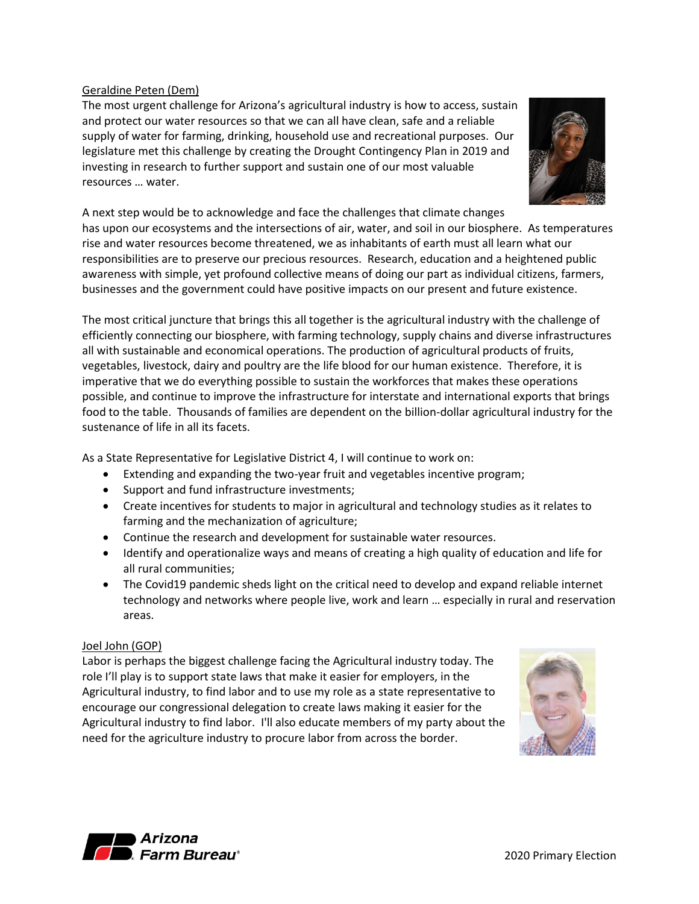#### Geraldine Peten (Dem)

The most urgent challenge for Arizona's agricultural industry is how to access, sustain and protect our water resources so that we can all have clean, safe and a reliable supply of water for farming, drinking, household use and recreational purposes. Our legislature met this challenge by creating the Drought Contingency Plan in 2019 and investing in research to further support and sustain one of our most valuable resources … water.



A next step would be to acknowledge and face the challenges that climate changes has upon our ecosystems and the intersections of air, water, and soil in our biosphere. As temperatures rise and water resources become threatened, we as inhabitants of earth must all learn what our responsibilities are to preserve our precious resources. Research, education and a heightened public awareness with simple, yet profound collective means of doing our part as individual citizens, farmers, businesses and the government could have positive impacts on our present and future existence.

The most critical juncture that brings this all together is the agricultural industry with the challenge of efficiently connecting our biosphere, with farming technology, supply chains and diverse infrastructures all with sustainable and economical operations. The production of agricultural products of fruits, vegetables, livestock, dairy and poultry are the life blood for our human existence. Therefore, it is imperative that we do everything possible to sustain the workforces that makes these operations possible, and continue to improve the infrastructure for interstate and international exports that brings food to the table. Thousands of families are dependent on the billion-dollar agricultural industry for the sustenance of life in all its facets.

As a State Representative for Legislative District 4, I will continue to work on:

- Extending and expanding the two-year fruit and vegetables incentive program;
- Support and fund infrastructure investments;
- Create incentives for students to major in agricultural and technology studies as it relates to farming and the mechanization of agriculture;
- Continue the research and development for sustainable water resources.
- Identify and operationalize ways and means of creating a high quality of education and life for all rural communities;
- The Covid19 pandemic sheds light on the critical need to develop and expand reliable internet technology and networks where people live, work and learn … especially in rural and reservation areas.

### Joel John (GOP)

Labor is perhaps the biggest challenge facing the Agricultural industry today. The role I'll play is to support state laws that make it easier for employers, in the Agricultural industry, to find labor and to use my role as a state representative to encourage our congressional delegation to create laws making it easier for the Agricultural industry to find labor. I'll also educate members of my party about the need for the agriculture industry to procure labor from across the border.



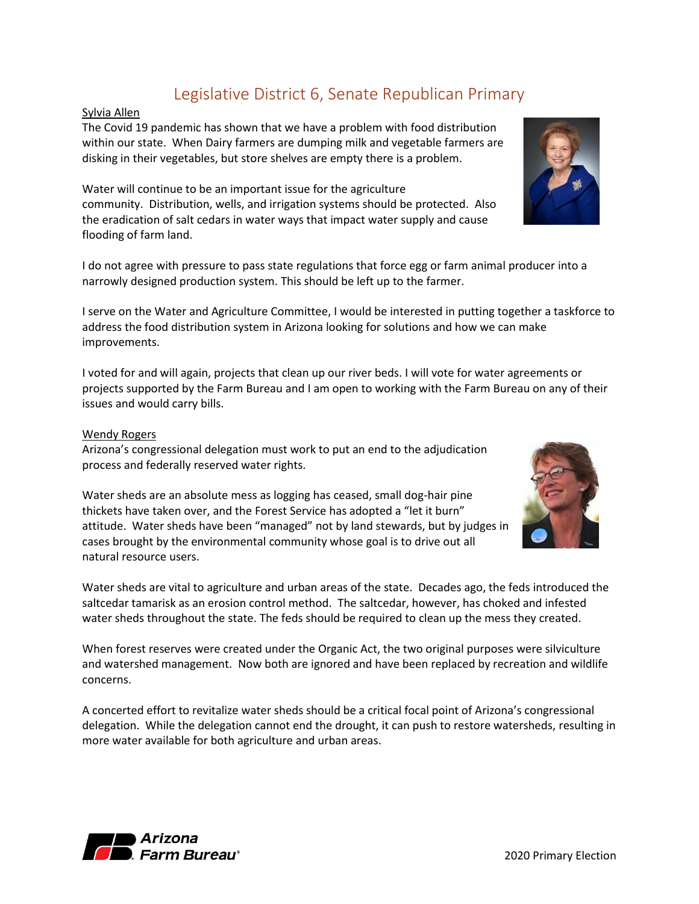## Legislative District 6, Senate Republican Primary

#### <span id="page-5-0"></span>Sylvia Allen

The Covid 19 pandemic has shown that we have a problem with food distribution within our state. When Dairy farmers are dumping milk and vegetable farmers are disking in their vegetables, but store shelves are empty there is a problem.

Water will continue to be an important issue for the agriculture community. Distribution, wells, and irrigation systems should be protected. Also the eradication of salt cedars in water ways that impact water supply and cause flooding of farm land.

I do not agree with pressure to pass state regulations that force egg or farm animal producer into a narrowly designed production system. This should be left up to the farmer.

I serve on the Water and Agriculture Committee, I would be interested in putting together a taskforce to address the food distribution system in Arizona looking for solutions and how we can make improvements.

I voted for and will again, projects that clean up our river beds. I will vote for water agreements or projects supported by the Farm Bureau and I am open to working with the Farm Bureau on any of their issues and would carry bills.

#### Wendy Rogers

Arizona's congressional delegation must work to put an end to the adjudication process and federally reserved water rights.

Water sheds are an absolute mess as logging has ceased, small dog-hair pine thickets have taken over, and the Forest Service has adopted a "let it burn" attitude. Water sheds have been "managed" not by land stewards, but by judges in cases brought by the environmental community whose goal is to drive out all natural resource users.

Water sheds are vital to agriculture and urban areas of the state. Decades ago, the feds introduced the saltcedar tamarisk as an erosion control method. The saltcedar, however, has choked and infested water sheds throughout the state. The feds should be required to clean up the mess they created.

When forest reserves were created under the Organic Act, the two original purposes were silviculture and watershed management. Now both are ignored and have been replaced by recreation and wildlife concerns.

A concerted effort to revitalize water sheds should be a critical focal point of Arizona's congressional delegation. While the delegation cannot end the drought, it can push to restore watersheds, resulting in more water available for both agriculture and urban areas.





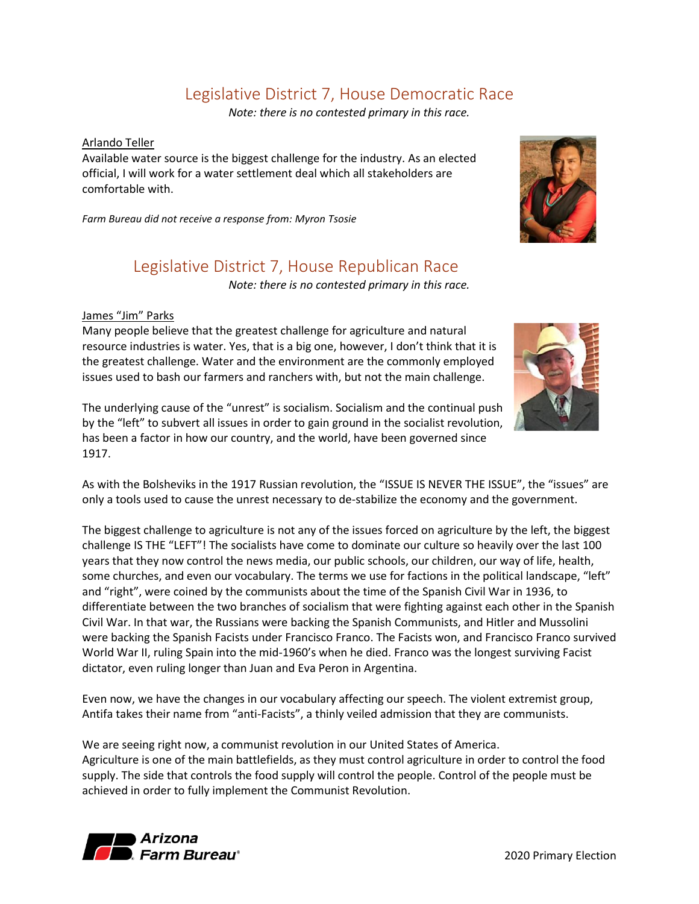## Legislative District 7, House Democratic Race

*Note: there is no contested primary in this race.*

#### <span id="page-6-0"></span>Arlando Teller

Available water source is the biggest challenge for the industry. As an elected official, I will work for a water settlement deal which all stakeholders are comfortable with.

<span id="page-6-1"></span>*Farm Bureau did not receive a response from: Myron Tsosie*

## Legislative District 7, House Republican Race

*Note: there is no contested primary in this race.*

#### James "Jim" Parks

Many people believe that the greatest challenge for agriculture and natural resource industries is water. Yes, that is a big one, however, I don't think that it is the greatest challenge. Water and the environment are the commonly employed issues used to bash our farmers and ranchers with, but not the main challenge.

The underlying cause of the "unrest" is socialism. Socialism and the continual push by the "left" to subvert all issues in order to gain ground in the socialist revolution, has been a factor in how our country, and the world, have been governed since 1917.

As with the Bolsheviks in the 1917 Russian revolution, the "ISSUE IS NEVER THE ISSUE", the "issues" are only a tools used to cause the unrest necessary to de-stabilize the economy and the government.

The biggest challenge to agriculture is not any of the issues forced on agriculture by the left, the biggest challenge IS THE "LEFT"! The socialists have come to dominate our culture so heavily over the last 100 years that they now control the news media, our public schools, our children, our way of life, health, some churches, and even our vocabulary. The terms we use for factions in the political landscape, "left" and "right", were coined by the communists about the time of the Spanish Civil War in 1936, to differentiate between the two branches of socialism that were fighting against each other in the Spanish Civil War. In that war, the Russians were backing the Spanish Communists, and Hitler and Mussolini were backing the Spanish Facists under Francisco Franco. The Facists won, and Francisco Franco survived World War II, ruling Spain into the mid-1960's when he died. Franco was the longest surviving Facist dictator, even ruling longer than Juan and Eva Peron in Argentina.

Even now, we have the changes in our vocabulary affecting our speech. The violent extremist group, Antifa takes their name from "anti-Facists", a thinly veiled admission that they are communists.

We are seeing right now, a communist revolution in our United States of America. Agriculture is one of the main battlefields, as they must control agriculture in order to control the food supply. The side that controls the food supply will control the people. Control of the people must be achieved in order to fully implement the Communist Revolution.





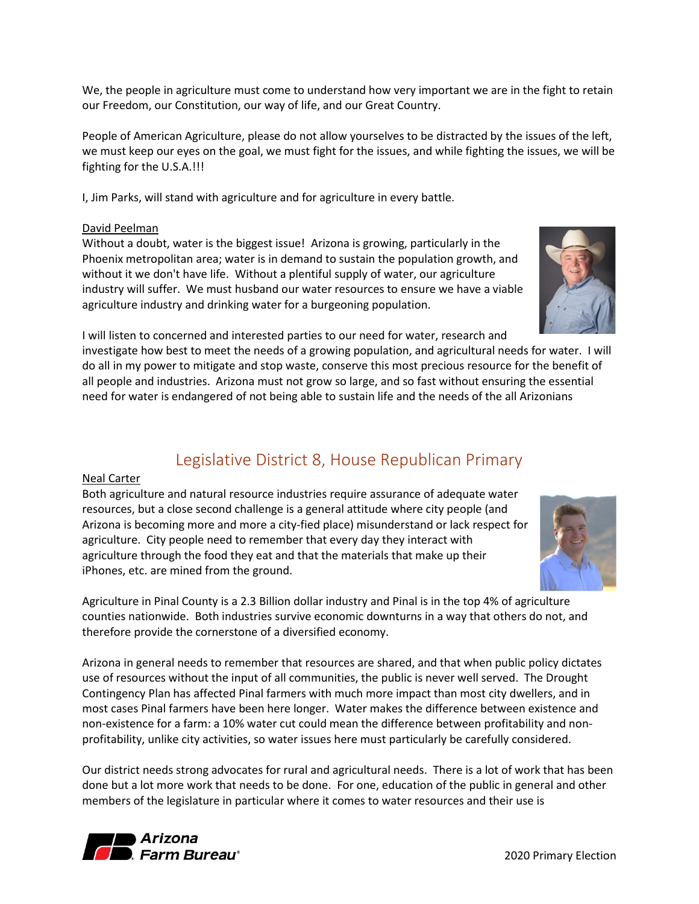We, the people in agriculture must come to understand how very important we are in the fight to retain our Freedom, our Constitution, our way of life, and our Great Country.

People of American Agriculture, please do not allow yourselves to be distracted by the issues of the left, we must keep our eyes on the goal, we must fight for the issues, and while fighting the issues, we will be fighting for the U.S.A.!!!

I, Jim Parks, will stand with agriculture and for agriculture in every battle.

#### David Peelman

Without a doubt, water is the biggest issue! Arizona is growing, particularly in the Phoenix metropolitan area; water is in demand to sustain the population growth, and without it we don't have life. Without a plentiful supply of water, our agriculture industry will suffer. We must husband our water resources to ensure we have a viable agriculture industry and drinking water for a burgeoning population.

I will listen to concerned and interested parties to our need for water, research and

investigate how best to meet the needs of a growing population, and agricultural needs for water. I will do all in my power to mitigate and stop waste, conserve this most precious resource for the benefit of all people and industries. Arizona must not grow so large, and so fast without ensuring the essential need for water is endangered of not being able to sustain life and the needs of the all Arizonians

## Legislative District 8, House Republican Primary

#### <span id="page-7-0"></span>Neal Carter

Both agriculture and natural resource industries require assurance of adequate water resources, but a close second challenge is a general attitude where city people (and Arizona is becoming more and more a city-fied place) misunderstand or lack respect for agriculture. City people need to remember that every day they interact with agriculture through the food they eat and that the materials that make up their iPhones, etc. are mined from the ground.

Agriculture in Pinal County is a 2.3 Billion dollar industry and Pinal is in the top 4% of agriculture counties nationwide. Both industries survive economic downturns in a way that others do not, and therefore provide the cornerstone of a diversified economy.

Arizona in general needs to remember that resources are shared, and that when public policy dictates use of resources without the input of all communities, the public is never well served. The Drought Contingency Plan has affected Pinal farmers with much more impact than most city dwellers, and in most cases Pinal farmers have been here longer. Water makes the difference between existence and non-existence for a farm: a 10% water cut could mean the difference between profitability and nonprofitability, unlike city activities, so water issues here must particularly be carefully considered.

Our district needs strong advocates for rural and agricultural needs. There is a lot of work that has been done but a lot more work that needs to be done. For one, education of the public in general and other members of the legislature in particular where it comes to water resources and their use is



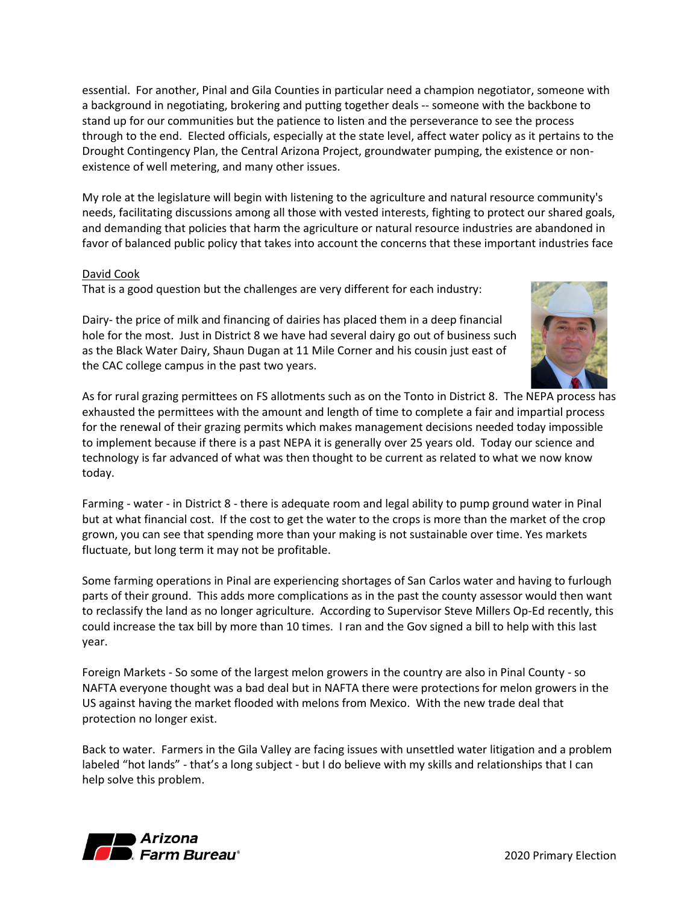essential. For another, Pinal and Gila Counties in particular need a champion negotiator, someone with a background in negotiating, brokering and putting together deals -- someone with the backbone to stand up for our communities but the patience to listen and the perseverance to see the process through to the end. Elected officials, especially at the state level, affect water policy as it pertains to the Drought Contingency Plan, the Central Arizona Project, groundwater pumping, the existence or nonexistence of well metering, and many other issues.

My role at the legislature will begin with listening to the agriculture and natural resource community's needs, facilitating discussions among all those with vested interests, fighting to protect our shared goals, and demanding that policies that harm the agriculture or natural resource industries are abandoned in favor of balanced public policy that takes into account the concerns that these important industries face

#### David Cook

That is a good question but the challenges are very different for each industry:

Dairy- the price of milk and financing of dairies has placed them in a deep financial hole for the most. Just in District 8 we have had several dairy go out of business such as the Black Water Dairy, Shaun Dugan at 11 Mile Corner and his cousin just east of the CAC college campus in the past two years.



As for rural grazing permittees on FS allotments such as on the Tonto in District 8. The NEPA process has exhausted the permittees with the amount and length of time to complete a fair and impartial process for the renewal of their grazing permits which makes management decisions needed today impossible to implement because if there is a past NEPA it is generally over 25 years old. Today our science and technology is far advanced of what was then thought to be current as related to what we now know today.

Farming - water - in District 8 - there is adequate room and legal ability to pump ground water in Pinal but at what financial cost. If the cost to get the water to the crops is more than the market of the crop grown, you can see that spending more than your making is not sustainable over time. Yes markets fluctuate, but long term it may not be profitable.

Some farming operations in Pinal are experiencing shortages of San Carlos water and having to furlough parts of their ground. This adds more complications as in the past the county assessor would then want to reclassify the land as no longer agriculture. According to Supervisor Steve Millers Op-Ed recently, this could increase the tax bill by more than 10 times. I ran and the Gov signed a bill to help with this last year.

Foreign Markets - So some of the largest melon growers in the country are also in Pinal County - so NAFTA everyone thought was a bad deal but in NAFTA there were protections for melon growers in the US against having the market flooded with melons from Mexico. With the new trade deal that protection no longer exist.

Back to water. Farmers in the Gila Valley are facing issues with unsettled water litigation and a problem labeled "hot lands" - that's a long subject - but I do believe with my skills and relationships that I can help solve this problem.

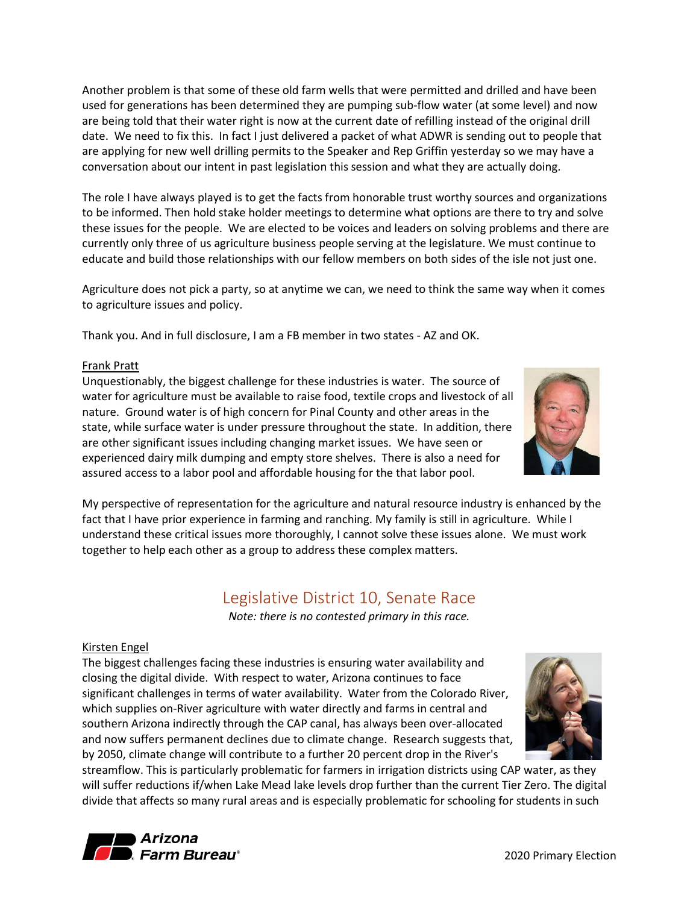Another problem is that some of these old farm wells that were permitted and drilled and have been used for generations has been determined they are pumping sub-flow water (at some level) and now are being told that their water right is now at the current date of refilling instead of the original drill date. We need to fix this. In fact I just delivered a packet of what ADWR is sending out to people that are applying for new well drilling permits to the Speaker and Rep Griffin yesterday so we may have a conversation about our intent in past legislation this session and what they are actually doing.

The role I have always played is to get the facts from honorable trust worthy sources and organizations to be informed. Then hold stake holder meetings to determine what options are there to try and solve these issues for the people. We are elected to be voices and leaders on solving problems and there are currently only three of us agriculture business people serving at the legislature. We must continue to educate and build those relationships with our fellow members on both sides of the isle not just one.

Agriculture does not pick a party, so at anytime we can, we need to think the same way when it comes to agriculture issues and policy.

Thank you. And in full disclosure, I am a FB member in two states - AZ and OK.

#### Frank Pratt

Unquestionably, the biggest challenge for these industries is water. The source of water for agriculture must be available to raise food, textile crops and livestock of all nature. Ground water is of high concern for Pinal County and other areas in the state, while surface water is under pressure throughout the state. In addition, there are other significant issues including changing market issues. We have seen or experienced dairy milk dumping and empty store shelves. There is also a need for assured access to a labor pool and affordable housing for the that labor pool.

My perspective of representation for the agriculture and natural resource industry is enhanced by the fact that I have prior experience in farming and ranching. My family is still in agriculture. While I understand these critical issues more thoroughly, I cannot solve these issues alone. We must work together to help each other as a group to address these complex matters.

## Legislative District 10, Senate Race

*Note: there is no contested primary in this race.*

### <span id="page-9-0"></span>Kirsten Engel

The biggest challenges facing these industries is ensuring water availability and closing the digital divide. With respect to water, Arizona continues to face significant challenges in terms of water availability. Water from the Colorado River, which supplies on-River agriculture with water directly and farms in central and southern Arizona indirectly through the CAP canal, has always been over-allocated and now suffers permanent declines due to climate change. Research suggests that, by 2050, climate change will contribute to a further 20 percent drop in the River's

streamflow. This is particularly problematic for farmers in irrigation districts using CAP water, as they will suffer reductions if/when Lake Mead lake levels drop further than the current Tier Zero. The digital divide that affects so many rural areas and is especially problematic for schooling for students in such





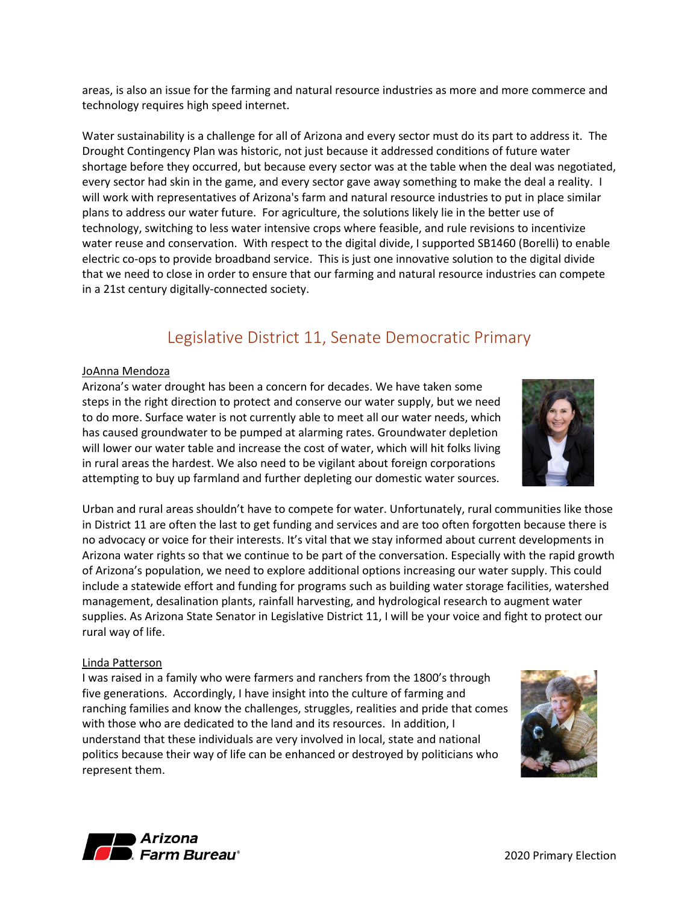areas, is also an issue for the farming and natural resource industries as more and more commerce and technology requires high speed internet.

Water sustainability is a challenge for all of Arizona and every sector must do its part to address it. The Drought Contingency Plan was historic, not just because it addressed conditions of future water shortage before they occurred, but because every sector was at the table when the deal was negotiated, every sector had skin in the game, and every sector gave away something to make the deal a reality. I will work with representatives of Arizona's farm and natural resource industries to put in place similar plans to address our water future. For agriculture, the solutions likely lie in the better use of technology, switching to less water intensive crops where feasible, and rule revisions to incentivize water reuse and conservation. With respect to the digital divide, I supported SB1460 (Borelli) to enable electric co-ops to provide broadband service. This is just one innovative solution to the digital divide that we need to close in order to ensure that our farming and natural resource industries can compete in a 21st century digitally-connected society.

## Legislative District 11, Senate Democratic Primary

#### <span id="page-10-0"></span>JoAnna Mendoza

Arizona's water drought has been a concern for decades. We have taken some steps in the right direction to protect and conserve our water supply, but we need to do more. Surface water is not currently able to meet all our water needs, which has caused groundwater to be pumped at alarming rates. Groundwater depletion will lower our water table and increase the cost of water, which will hit folks living in rural areas the hardest. We also need to be vigilant about foreign corporations attempting to buy up farmland and further depleting our domestic water sources.

Urban and rural areas shouldn't have to compete for water. Unfortunately, rural communities like those in District 11 are often the last to get funding and services and are too often forgotten because there is no advocacy or voice for their interests. It's vital that we stay informed about current developments in Arizona water rights so that we continue to be part of the conversation. Especially with the rapid growth of Arizona's population, we need to explore additional options increasing our water supply. This could include a statewide effort and funding for programs such as building water storage facilities, watershed management, desalination plants, rainfall harvesting, and hydrological research to augment water supplies. As Arizona State Senator in Legislative District 11, I will be your voice and fight to protect our rural way of life.

#### Linda Patterson

I was raised in a family who were farmers and ranchers from the 1800's through five generations. Accordingly, I have insight into the culture of farming and ranching families and know the challenges, struggles, realities and pride that comes with those who are dedicated to the land and its resources. In addition, I understand that these individuals are very involved in local, state and national politics because their way of life can be enhanced or destroyed by politicians who represent them.





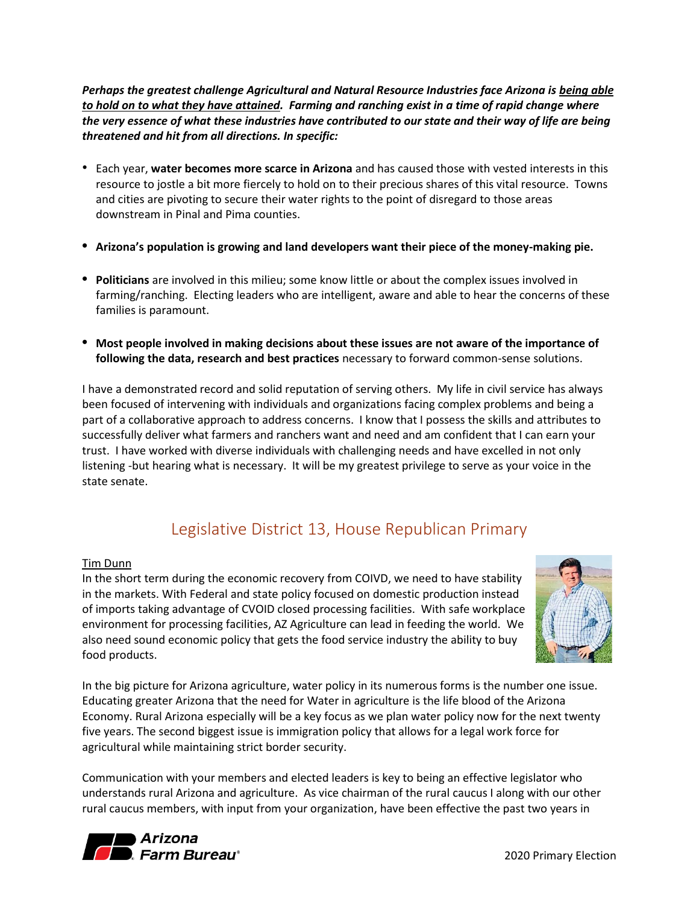*Perhaps the greatest challenge Agricultural and Natural Resource Industries face Arizona is being able to hold on to what they have attained. Farming and ranching exist in a time of rapid change where the very essence of what these industries have contributed to our state and their way of life are being threatened and hit from all directions. In specific:*

- Each year, **water becomes more scarce in Arizona** and has caused those with vested interests in this resource to jostle a bit more fiercely to hold on to their precious shares of this vital resource. Towns and cities are pivoting to secure their water rights to the point of disregard to those areas downstream in Pinal and Pima counties.
- **• Arizona's population is growing and land developers want their piece of the money-making pie.**
- **• Politicians** are involved in this milieu; some know little or about the complex issues involved in farming/ranching. Electing leaders who are intelligent, aware and able to hear the concerns of these families is paramount.
- **• Most people involved in making decisions about these issues are not aware of the importance of following the data, research and best practices** necessary to forward common-sense solutions.

I have a demonstrated record and solid reputation of serving others. My life in civil service has always been focused of intervening with individuals and organizations facing complex problems and being a part of a collaborative approach to address concerns. I know that I possess the skills and attributes to successfully deliver what farmers and ranchers want and need and am confident that I can earn your trust. I have worked with diverse individuals with challenging needs and have excelled in not only listening -but hearing what is necessary. It will be my greatest privilege to serve as your voice in the state senate.

## Legislative District 13, House Republican Primary

#### <span id="page-11-0"></span>Tim Dunn

In the short term during the economic recovery from COIVD, we need to have stability in the markets. With Federal and state policy focused on domestic production instead of imports taking advantage of CVOID closed processing facilities. With safe workplace environment for processing facilities, AZ Agriculture can lead in feeding the world. We also need sound economic policy that gets the food service industry the ability to buy food products.



In the big picture for Arizona agriculture, water policy in its numerous forms is the number one issue. Educating greater Arizona that the need for Water in agriculture is the life blood of the Arizona Economy. Rural Arizona especially will be a key focus as we plan water policy now for the next twenty five years. The second biggest issue is immigration policy that allows for a legal work force for agricultural while maintaining strict border security.

Communication with your members and elected leaders is key to being an effective legislator who understands rural Arizona and agriculture. As vice chairman of the rural caucus I along with our other rural caucus members, with input from your organization, have been effective the past two years in

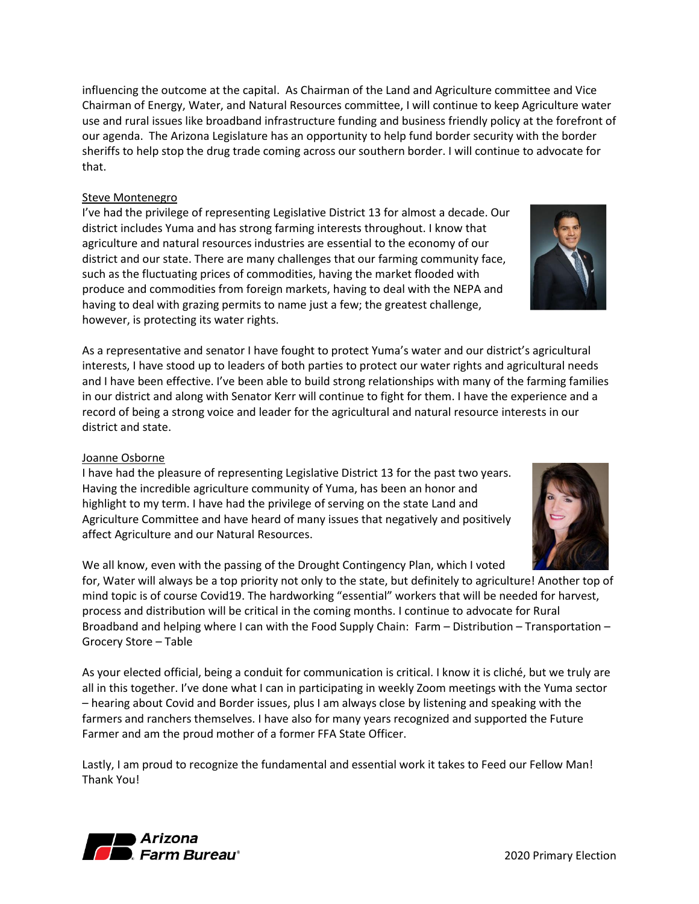2020 Primary Election

influencing the outcome at the capital. As Chairman of the Land and Agriculture committee and Vice Chairman of Energy, Water, and Natural Resources committee, I will continue to keep Agriculture water use and rural issues like broadband infrastructure funding and business friendly policy at the forefront of our agenda. The Arizona Legislature has an opportunity to help fund border security with the border sheriffs to help stop the drug trade coming across our southern border. I will continue to advocate for that.

#### Steve Montenegro

I've had the privilege of representing Legislative District 13 for almost a decade. Our district includes Yuma and has strong farming interests throughout. I know that agriculture and natural resources industries are essential to the economy of our district and our state. There are many challenges that our farming community face, such as the fluctuating prices of commodities, having the market flooded with produce and commodities from foreign markets, having to deal with the NEPA and having to deal with grazing permits to name just a few; the greatest challenge, however, is protecting its water rights.

As a representative and senator I have fought to protect Yuma's water and our district's agricultural interests, I have stood up to leaders of both parties to protect our water rights and agricultural needs and I have been effective. I've been able to build strong relationships with many of the farming families in our district and along with Senator Kerr will continue to fight for them. I have the experience and a record of being a strong voice and leader for the agricultural and natural resource interests in our district and state.

#### Joanne Osborne

I have had the pleasure of representing Legislative District 13 for the past two years. Having the incredible agriculture community of Yuma, has been an honor and highlight to my term. I have had the privilege of serving on the state Land and Agriculture Committee and have heard of many issues that negatively and positively affect Agriculture and our Natural Resources.

We all know, even with the passing of the Drought Contingency Plan, which I voted

for, Water will always be a top priority not only to the state, but definitely to agriculture! Another top of mind topic is of course Covid19. The hardworking "essential" workers that will be needed for harvest, process and distribution will be critical in the coming months. I continue to advocate for Rural Broadband and helping where I can with the Food Supply Chain: Farm – Distribution – Transportation – Grocery Store – Table

As your elected official, being a conduit for communication is critical. I know it is cliché, but we truly are all in this together. I've done what I can in participating in weekly Zoom meetings with the Yuma sector – hearing about Covid and Border issues, plus I am always close by listening and speaking with the farmers and ranchers themselves. I have also for many years recognized and supported the Future Farmer and am the proud mother of a former FFA State Officer.

Lastly, I am proud to recognize the fundamental and essential work it takes to Feed our Fellow Man! Thank You!





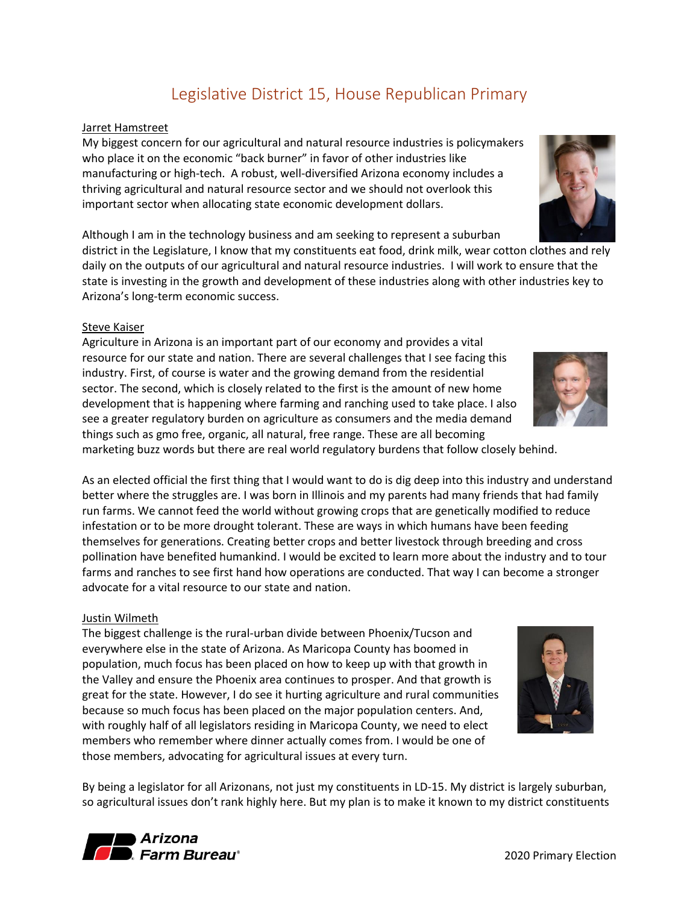My biggest concern for our agricultural and natural resource industries is policymakers who place it on the economic "back burner" in favor of other industries like manufacturing or high-tech. A robust, well-diversified Arizona economy includes a thriving agricultural and natural resource sector and we should not overlook this important sector when allocating state economic development dollars.

Although I am in the technology business and am seeking to represent a suburban

district in the Legislature, I know that my constituents eat food, drink milk, wear cotton clothes and rely daily on the outputs of our agricultural and natural resource industries. I will work to ensure that the state is investing in the growth and development of these industries along with other industries key to Arizona's long-term economic success.

Legislative District 15, House Republican Primary

#### Steve Kaiser

<span id="page-13-0"></span>Jarret Hamstreet

Agriculture in Arizona is an important part of our economy and provides a vital resource for our state and nation. There are several challenges that I see facing this industry. First, of course is water and the growing demand from the residential sector. The second, which is closely related to the first is the amount of new home development that is happening where farming and ranching used to take place. I also see a greater regulatory burden on agriculture as consumers and the media demand things such as gmo free, organic, all natural, free range. These are all becoming marketing buzz words but there are real world regulatory burdens that follow closely behind.

As an elected official the first thing that I would want to do is dig deep into this industry and understand better where the struggles are. I was born in Illinois and my parents had many friends that had family run farms. We cannot feed the world without growing crops that are genetically modified to reduce infestation or to be more drought tolerant. These are ways in which humans have been feeding themselves for generations. Creating better crops and better livestock through breeding and cross pollination have benefited humankind. I would be excited to learn more about the industry and to tour farms and ranches to see first hand how operations are conducted. That way I can become a stronger advocate for a vital resource to our state and nation.

#### Justin Wilmeth

The biggest challenge is the rural-urban divide between Phoenix/Tucson and everywhere else in the state of Arizona. As Maricopa County has boomed in population, much focus has been placed on how to keep up with that growth in the Valley and ensure the Phoenix area continues to prosper. And that growth is great for the state. However, I do see it hurting agriculture and rural communities because so much focus has been placed on the major population centers. And, with roughly half of all legislators residing in Maricopa County, we need to elect members who remember where dinner actually comes from. I would be one of those members, advocating for agricultural issues at every turn.

By being a legislator for all Arizonans, not just my constituents in LD-15. My district is largely suburban, so agricultural issues don't rank highly here. But my plan is to make it known to my district constituents







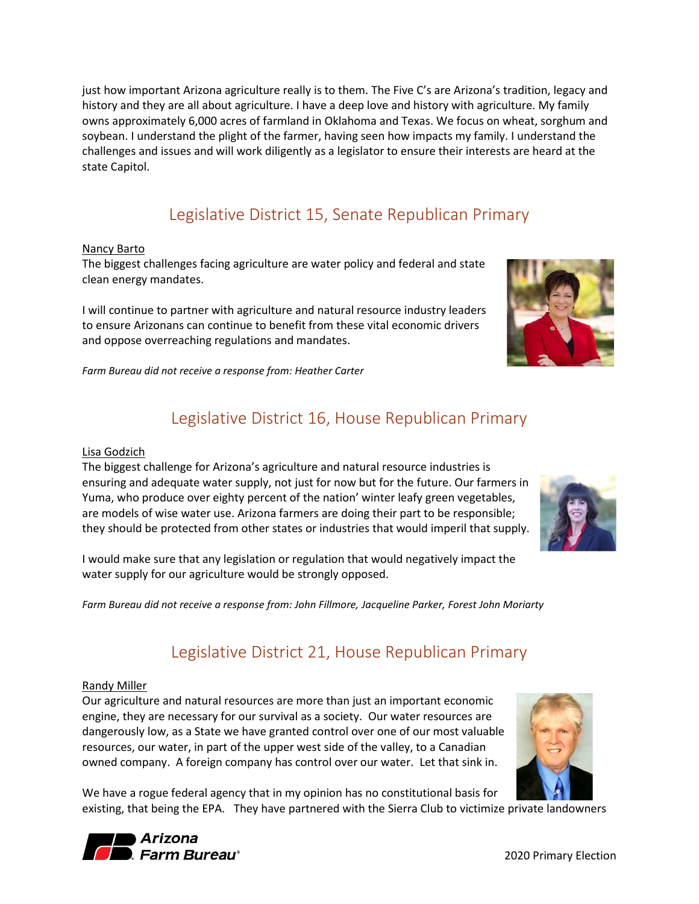just how important Arizona agriculture really is to them. The Five C's are Arizona's tradition, legacy and history and they are all about agriculture. I have a deep love and history with agriculture. My family owns approximately 6,000 acres of farmland in Oklahoma and Texas. We focus on wheat, sorghum and soybean. I understand the plight of the farmer, having seen how impacts my family. I understand the challenges and issues and will work diligently as a legislator to ensure their interests are heard at the state Capitol.

## Legislative District 15, Senate Republican Primary

#### <span id="page-14-0"></span>Nancy Barto

The biggest challenges facing agriculture are water policy and federal and state clean energy mandates.

I will continue to partner with agriculture and natural resource industry leaders to ensure Arizonans can continue to benefit from these vital economic drivers and oppose overreaching regulations and mandates.

<span id="page-14-1"></span>



## Legislative District 16, House Republican Primary

#### Lisa Godzich

The biggest challenge for Arizona's agriculture and natural resource industries is ensuring and adequate water supply, not just for now but for the future. Our farmers in Yuma, who produce over eighty percent of the nation' winter leafy green vegetables, are models of wise water use. Arizona farmers are doing their part to be responsible; they should be protected from other states or industries that would imperil that supply.

I would make sure that any legislation or regulation that would negatively impact the water supply for our agriculture would be strongly opposed.

<span id="page-14-2"></span>*Farm Bureau did not receive a response from: John Fillmore, Jacqueline Parker, Forest John Moriarty* 

## Legislative District 21, House Republican Primary

#### Randy Miller

Our agriculture and natural resources are more than just an important economic engine, they are necessary for our survival as a society. Our water resources are dangerously low, as a State we have granted control over one of our most valuable resources, our water, in part of the upper west side of the valley, to a Canadian owned company. A foreign company has control over our water. Let that sink in.



We have a rogue federal agency that in my opinion has no constitutional basis for existing, that being the EPA. They have partnered with the Sierra Club to victimize private landowners



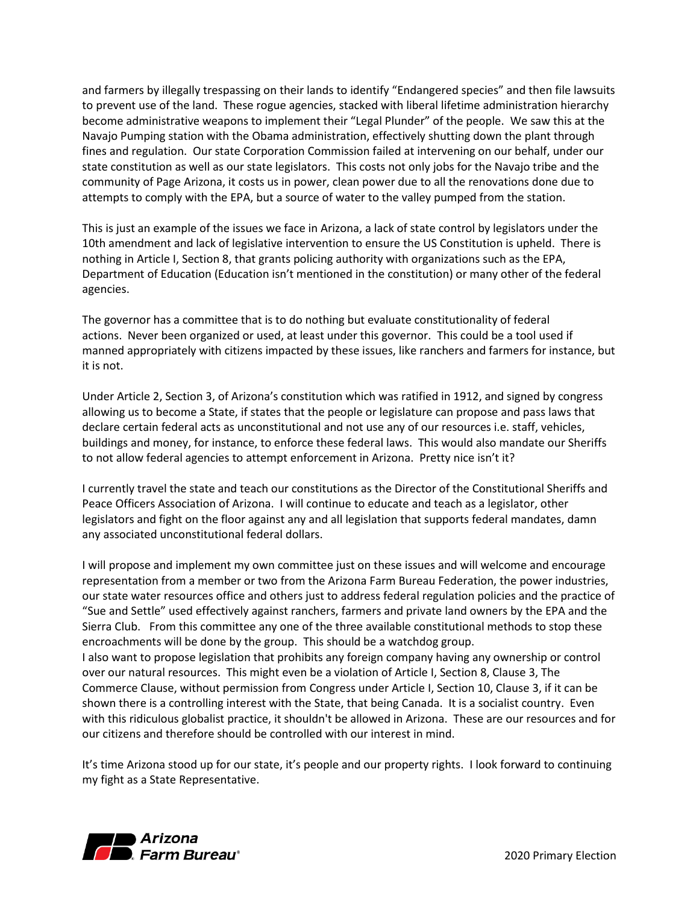and farmers by illegally trespassing on their lands to identify "Endangered species" and then file lawsuits to prevent use of the land. These rogue agencies, stacked with liberal lifetime administration hierarchy become administrative weapons to implement their "Legal Plunder" of the people. We saw this at the Navajo Pumping station with the Obama administration, effectively shutting down the plant through fines and regulation. Our state Corporation Commission failed at intervening on our behalf, under our state constitution as well as our state legislators. This costs not only jobs for the Navajo tribe and the community of Page Arizona, it costs us in power, clean power due to all the renovations done due to attempts to comply with the EPA, but a source of water to the valley pumped from the station.

This is just an example of the issues we face in Arizona, a lack of state control by legislators under the 10th amendment and lack of legislative intervention to ensure the US Constitution is upheld. There is nothing in Article I, Section 8, that grants policing authority with organizations such as the EPA, Department of Education (Education isn't mentioned in the constitution) or many other of the federal agencies.

The governor has a committee that is to do nothing but evaluate constitutionality of federal actions. Never been organized or used, at least under this governor. This could be a tool used if manned appropriately with citizens impacted by these issues, like ranchers and farmers for instance, but it is not.

Under Article 2, Section 3, of Arizona's constitution which was ratified in 1912, and signed by congress allowing us to become a State, if states that the people or legislature can propose and pass laws that declare certain federal acts as unconstitutional and not use any of our resources i.e. staff, vehicles, buildings and money, for instance, to enforce these federal laws. This would also mandate our Sheriffs to not allow federal agencies to attempt enforcement in Arizona. Pretty nice isn't it?

I currently travel the state and teach our constitutions as the Director of the Constitutional Sheriffs and Peace Officers Association of Arizona. I will continue to educate and teach as a legislator, other legislators and fight on the floor against any and all legislation that supports federal mandates, damn any associated unconstitutional federal dollars.

I will propose and implement my own committee just on these issues and will welcome and encourage representation from a member or two from the Arizona Farm Bureau Federation, the power industries, our state water resources office and others just to address federal regulation policies and the practice of "Sue and Settle" used effectively against ranchers, farmers and private land owners by the EPA and the Sierra Club. From this committee any one of the three available constitutional methods to stop these encroachments will be done by the group. This should be a watchdog group. I also want to propose legislation that prohibits any foreign company having any ownership or control over our natural resources. This might even be a violation of Article I, Section 8, Clause 3, The Commerce Clause, without permission from Congress under Article I, Section 10, Clause 3, if it can be shown there is a controlling interest with the State, that being Canada. It is a socialist country. Even with this ridiculous globalist practice, it shouldn't be allowed in Arizona. These are our resources and for

It's time Arizona stood up for our state, it's people and our property rights. I look forward to continuing my fight as a State Representative.

our citizens and therefore should be controlled with our interest in mind.

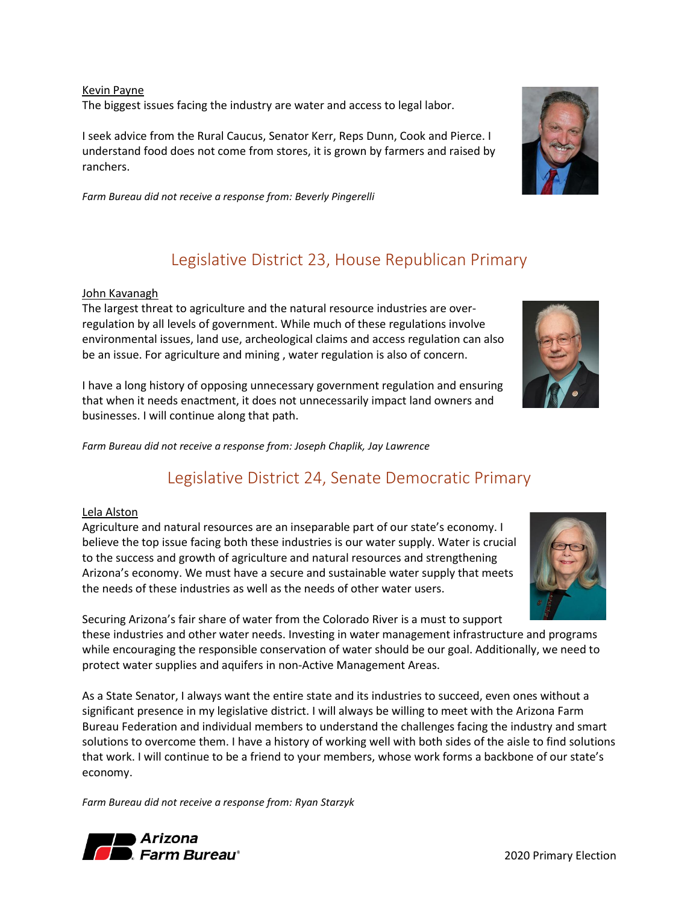Kevin Payne The biggest issues facing the industry are water and access to legal labor.

I seek advice from the Rural Caucus, Senator Kerr, Reps Dunn, Cook and Pierce. I understand food does not come from stores, it is grown by farmers and raised by ranchers.

<span id="page-16-0"></span>*Farm Bureau did not receive a response from: Beverly Pingerelli*

## Legislative District 23, House Republican Primary

#### John Kavanagh

The largest threat to agriculture and the natural resource industries are overregulation by all levels of government. While much of these regulations involve environmental issues, land use, archeological claims and access regulation can also be an issue. For agriculture and mining , water regulation is also of concern.

I have a long history of opposing unnecessary government regulation and ensuring that when it needs enactment, it does not unnecessarily impact land owners and businesses. I will continue along that path.

<span id="page-16-1"></span>*Farm Bureau did not receive a response from: Joseph Chaplik, Jay Lawrence* 

## Legislative District 24, Senate Democratic Primary

#### Lela Alston

Agriculture and natural resources are an inseparable part of our state's economy. I believe the top issue facing both these industries is our water supply. Water is crucial to the success and growth of agriculture and natural resources and strengthening Arizona's economy. We must have a secure and sustainable water supply that meets the needs of these industries as well as the needs of other water users.

Securing Arizona's fair share of water from the Colorado River is a must to support these industries and other water needs. Investing in water management infrastructure and programs while encouraging the responsible conservation of water should be our goal. Additionally, we need to protect water supplies and aquifers in non-Active Management Areas.

As a State Senator, I always want the entire state and its industries to succeed, even ones without a significant presence in my legislative district. I will always be willing to meet with the Arizona Farm Bureau Federation and individual members to understand the challenges facing the industry and smart solutions to overcome them. I have a history of working well with both sides of the aisle to find solutions that work. I will continue to be a friend to your members, whose work forms a backbone of our state's economy.

*Farm Bureau did not receive a response from: Ryan Starzyk*









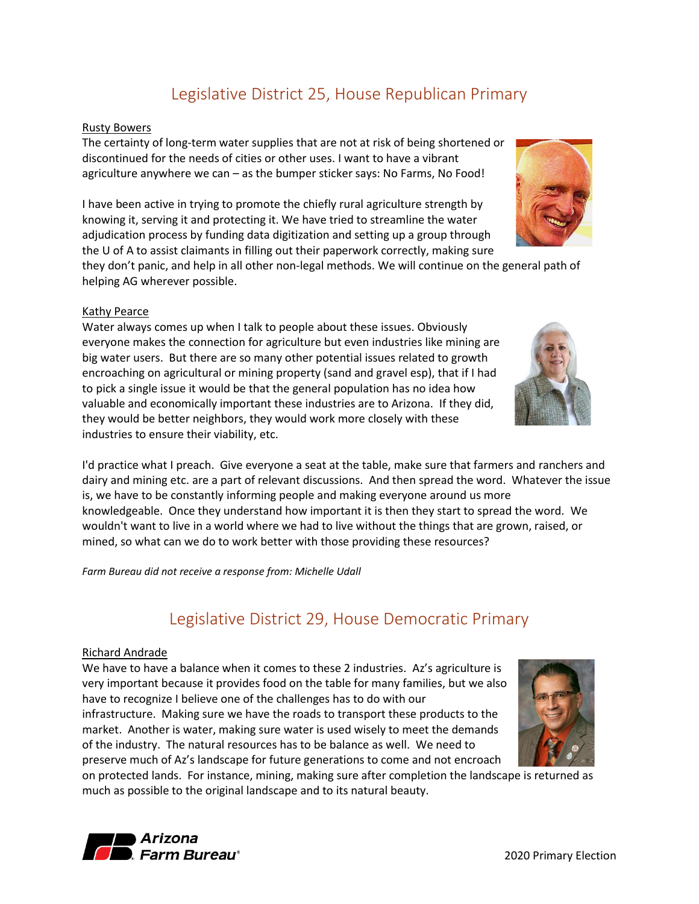## Legislative District 25, House Republican Primary

#### <span id="page-17-0"></span>Rusty Bowers

The certainty of long-term water supplies that are not at risk of being shortened or discontinued for the needs of cities or other uses. I want to have a vibrant agriculture anywhere we can – as the bumper sticker says: No Farms, No Food!

I have been active in trying to promote the chiefly rural agriculture strength by knowing it, serving it and protecting it. We have tried to streamline the water adjudication process by funding data digitization and setting up a group through the U of A to assist claimants in filling out their paperwork correctly, making sure

they don't panic, and help in all other non-legal methods. We will continue on the general path of helping AG wherever possible.

#### Kathy Pearce

Water always comes up when I talk to people about these issues. Obviously everyone makes the connection for agriculture but even industries like mining are big water users. But there are so many other potential issues related to growth encroaching on agricultural or mining property (sand and gravel esp), that if I had to pick a single issue it would be that the general population has no idea how valuable and economically important these industries are to Arizona. If they did, they would be better neighbors, they would work more closely with these industries to ensure their viability, etc.

I'd practice what I preach. Give everyone a seat at the table, make sure that farmers and ranchers and dairy and mining etc. are a part of relevant discussions. And then spread the word. Whatever the issue is, we have to be constantly informing people and making everyone around us more knowledgeable. Once they understand how important it is then they start to spread the word. We wouldn't want to live in a world where we had to live without the things that are grown, raised, or mined, so what can we do to work better with those providing these resources?

<span id="page-17-1"></span>*Farm Bureau did not receive a response from: Michelle Udall*

## Legislative District 29, House Democratic Primary

#### Richard Andrade

We have to have a balance when it comes to these 2 industries. Az's agriculture is very important because it provides food on the table for many families, but we also have to recognize I believe one of the challenges has to do with our infrastructure. Making sure we have the roads to transport these products to the market. Another is water, making sure water is used wisely to meet the demands of the industry. The natural resources has to be balance as well. We need to preserve much of Az's landscape for future generations to come and not encroach

on protected lands. For instance, mining, making sure after completion the landscape is returned as much as possible to the original landscape and to its natural beauty.







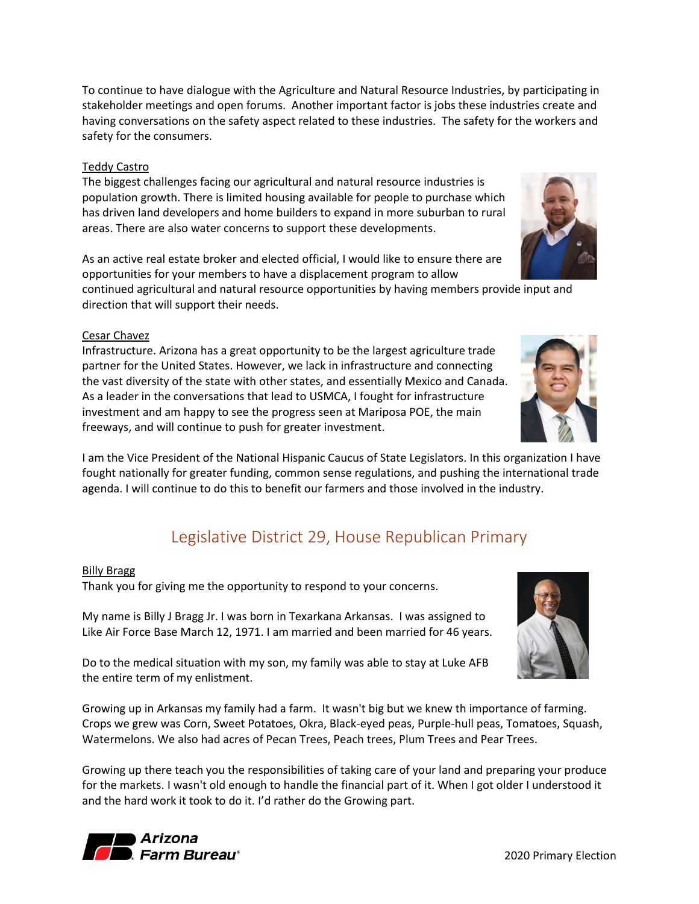To continue to have dialogue with the Agriculture and Natural Resource Industries, by participating in stakeholder meetings and open forums. Another important factor is jobs these industries create and having conversations on the safety aspect related to these industries. The safety for the workers and safety for the consumers.

#### Teddy Castro

The biggest challenges facing our agricultural and natural resource industries is population growth. There is limited housing available for people to purchase which has driven land developers and home builders to expand in more suburban to rural areas. There are also water concerns to support these developments.

As an active real estate broker and elected official, I would like to ensure there are opportunities for your members to have a displacement program to allow

continued agricultural and natural resource opportunities by having members provide input and direction that will support their needs.

#### Cesar Chavez

Infrastructure. Arizona has a great opportunity to be the largest agriculture trade partner for the United States. However, we lack in infrastructure and connecting the vast diversity of the state with other states, and essentially Mexico and Canada. As a leader in the conversations that lead to USMCA, I fought for infrastructure investment and am happy to see the progress seen at Mariposa POE, the main freeways, and will continue to push for greater investment.

I am the Vice President of the National Hispanic Caucus of State Legislators. In this organization I have fought nationally for greater funding, common sense regulations, and pushing the international trade agenda. I will continue to do this to benefit our farmers and those involved in the industry.

## Legislative District 29, House Republican Primary

#### <span id="page-18-0"></span>Billy Bragg

Thank you for giving me the opportunity to respond to your concerns.

My name is Billy J Bragg Jr. I was born in Texarkana Arkansas. I was assigned to Like Air Force Base March 12, 1971. I am married and been married for 46 years.

Do to the medical situation with my son, my family was able to stay at Luke AFB the entire term of my enlistment.

Growing up in Arkansas my family had a farm. It wasn't big but we knew th importance of farming. Crops we grew was Corn, Sweet Potatoes, Okra, Black-eyed peas, Purple-hull peas, Tomatoes, Squash, Watermelons. We also had acres of Pecan Trees, Peach trees, Plum Trees and Pear Trees.

Growing up there teach you the responsibilities of taking care of your land and preparing your produce for the markets. I wasn't old enough to handle the financial part of it. When I got older I understood it and the hard work it took to do it. I'd rather do the Growing part.